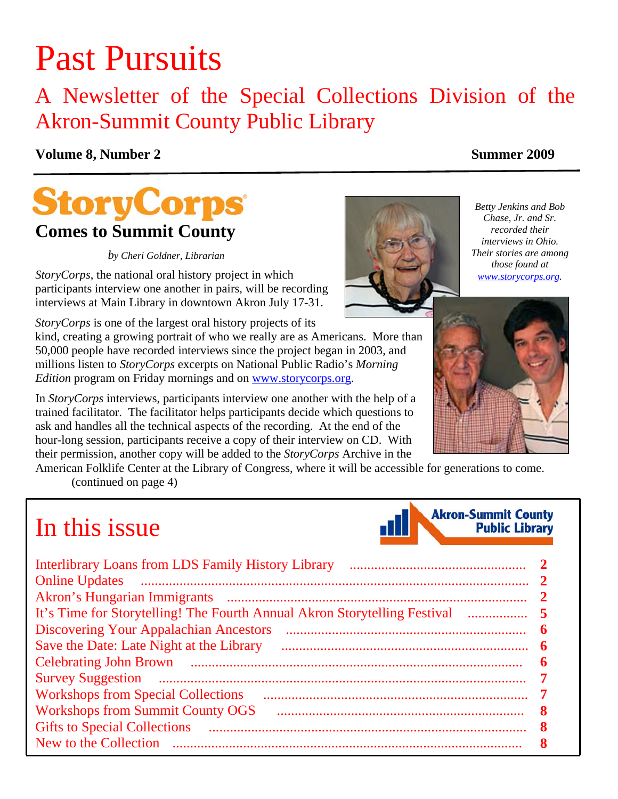# Past Pursuits

## A Newsletter of the Special Collections Division of the Akron-Summit County Public Library

### **Volume 8, Number 2** Summer 2009

## **StoryCorps Comes to Summit County**

*by Cheri Goldner, Librarian* 

*StoryCorps*, the national oral history project in which participants interview one another in pairs, will be recording interviews at Main Library in downtown Akron July 17-31.

*StoryCorps* is one of the largest oral history projects of its

kind, creating a growing portrait of who we really are as Americans. More than 50,000 people have recorded interviews since the project began in 2003, and millions listen to *StoryCorps* excerpts on National Public Radio's *Morning Edition* program on Friday mornings and on www.storycorps.org.

In *StoryCorps* interviews, participants interview one another with the help of a trained facilitator. The facilitator helps participants decide which questions to ask and handles all the technical aspects of the recording. At the end of the hour-long session, participants receive a copy of their interview on CD. With their permission, another copy will be added to the *StoryCorps* Archive in the

American Folklife Center at the Library of Congress, where it will be accessible for generations to come. [\(continued on page 4\)](#page-3-0) 

## In this issue

| <b>Discovering Your Appalachian Ancestors</b> |  |
|-----------------------------------------------|--|
| Save the Date: Late Night at the Library      |  |
|                                               |  |
|                                               |  |
| <b>Workshops from Special Collections</b>     |  |
| <b>Workshops from Summit County OGS</b>       |  |
| <b>Gifts to Special Collections</b>           |  |
|                                               |  |





*Betty Jenkins and Bob Chase, Jr. and Sr. recorded their interviews in Ohio. Their stories are among those found at www.storycorps.org.* 



**Akron-Summit County** 

**Public Library**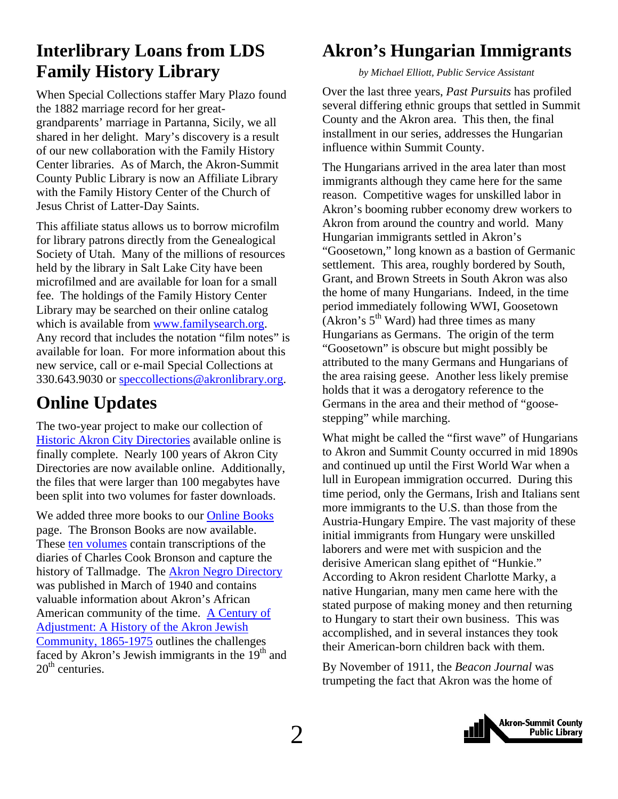### <span id="page-1-0"></span>**Interlibrary Loans from LDS Family History Library**

When Special Collections staffer Mary Plazo found the 1882 marriage record for her greatgrandparents' marriage in Partanna, Sicily, we all shared in her delight. Mary's discovery is a result of our new collaboration with the Family History Center libraries. As of March, the Akron-Summit County Public Library is now an Affiliate Library with the Family History Center of the Church of Jesus Christ of Latter-Day Saints.

This affiliate status allows us to borrow microfilm for library patrons directly from the Genealogical Society of Utah. Many of the millions of resources held by the library in Salt Lake City have been microfilmed and are available for loan for a small fee. The holdings of the Family History Center Library may be searched on their online catalog which is available from www.familysearch.org. Any record that includes the notation "film notes" is available for loan. For more information about this new service, call or e-mail Special Collections at 330.643.9030 or speccollections@akronlibrary.org.

### **Online Updates**

The two-year project to make our collection of [Historic Akron City Directories](http://www.akronlibrary.org/internetresources/sc/citydirectories/) available online is finally complete. Nearly 100 years of Akron City Directories are now available online. Additionally, the files that were larger than 100 megabytes have been split into two volumes for faster downloads.

We added three more books to our [Online Books](http://www.akronlibrary.org/internetresources/sc/OnlineBooks/onlinebks.html) page. The Bronson Books are now available. These [ten volumes](http://www.akronlibrary.org/internetresources/sc/OnlineBooks/onlinebks.html) contain transcriptions of the diaries of Charles Cook Bronson and capture the history of Tallmadge. The [Akron Negro Directory](http://www.akronlibrary.org/internetresources/sc/OnlineBooks/Akron%20Negro%20Directory.pdf) was published in March of 1940 and contains valuable information about Akron's African [American community of the time. A Century of](http://www.akronlibrary.org/internetresources/sc/OnlineBooks/Century%20of%20Adjustments.pdf) Adjustment: A History of the Akron Jewish Community, 1865-1975 outlines the challenges faced by Akron's Jewish immigrants in the  $19<sup>th</sup>$  and  $20<sup>th</sup>$  centuries.

## **Akron's Hungarian Immigrants**

 *by Michael Elliott, Public Service Assistant* 

Over the last three years, *Past Pursuits* has profiled several differing ethnic groups that settled in Summit County and the Akron area. This then, the final installment in our series, addresses the Hungarian influence within Summit County.

The Hungarians arrived in the area later than most immigrants although they came here for the same reason. Competitive wages for unskilled labor in Akron's booming rubber economy drew workers to Akron from around the country and world. Many Hungarian immigrants settled in Akron's "Goosetown," long known as a bastion of Germanic settlement. This area, roughly bordered by South, Grant, and Brown Streets in South Akron was also the home of many Hungarians. Indeed, in the time period immediately following WWI, Goosetown  $(Akron's 5<sup>th</sup> Ward)$  had three times as many Hungarians as Germans. The origin of the term "Goosetown" is obscure but might possibly be attributed to the many Germans and Hungarians of the area raising geese. Another less likely premise holds that it was a derogatory reference to the Germans in the area and their method of "goosestepping" while marching.

What might be called the "first wave" of Hungarians to Akron and Summit County occurred in mid 1890s and continued up until the First World War when a lull in European immigration occurred. During this time period, only the Germans, Irish and Italians sent more immigrants to the U.S. than those from the Austria-Hungary Empire. The vast majority of these initial immigrants from Hungary were unskilled laborers and were met with suspicion and the derisive American slang epithet of "Hunkie." According to Akron resident Charlotte Marky, a native Hungarian, many men came here with the stated purpose of making money and then returning to Hungary to start their own business. This was accomplished, and in several instances they took their American-born children back with them.

By November of 1911, the *Beacon Journal* was trumpeting the fact that Akron was the home of

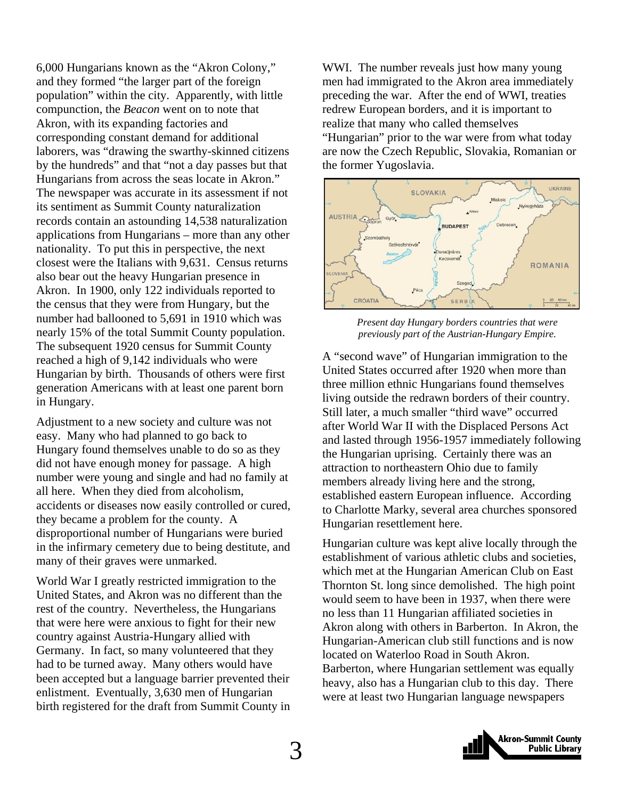6,000 Hungarians known as the "Akron Colony," and they formed "the larger part of the foreign population" within the city. Apparently, with little compunction, the *Beacon* went on to note that Akron, with its expanding factories and corresponding constant demand for additional laborers, was "drawing the swarthy-skinned citizens by the hundreds" and that "not a day passes but that Hungarians from across the seas locate in Akron." The newspaper was accurate in its assessment if not its sentiment as Summit County naturalization records contain an astounding 14,538 naturalization applications from Hungarians – more than any other nationality. To put this in perspective, the next closest were the Italians with 9,631. Census returns also bear out the heavy Hungarian presence in Akron. In 1900, only 122 individuals reported to the census that they were from Hungary, but the number had ballooned to 5,691 in 1910 which was nearly 15% of the total Summit County population. The subsequent 1920 census for Summit County reached a high of 9,142 individuals who were Hungarian by birth. Thousands of others were first generation Americans with at least one parent born in Hungary.

Adjustment to a new society and culture was not easy. Many who had planned to go back to Hungary found themselves unable to do so as they did not have enough money for passage. A high number were young and single and had no family at all here. When they died from alcoholism, accidents or diseases now easily controlled or cured, they became a problem for the county. A disproportional number of Hungarians were buried in the infirmary cemetery due to being destitute, and many of their graves were unmarked.

World War I greatly restricted immigration to the United States, and Akron was no different than the rest of the country. Nevertheless, the Hungarians that were here were anxious to fight for their new country against Austria-Hungary allied with Germany. In fact, so many volunteered that they had to be turned away. Many others would have been accepted but a language barrier prevented their enlistment. Eventually, 3,630 men of Hungarian birth registered for the draft from Summit County in

WWI. The number reveals just how many young men had immigrated to the Akron area immediately preceding the war. After the end of WWI, treaties redrew European borders, and it is important to realize that many who called themselves "Hungarian" prior to the war were from what today are now the Czech Republic, Slovakia, Romanian or the former Yugoslavia.



*Present day Hungary borders countries that were previously part of the Austrian-Hungary Empire.* 

A "second wave" of Hungarian immigration to the United States occurred after 1920 when more than three million ethnic Hungarians found themselves living outside the redrawn borders of their country. Still later, a much smaller "third wave" occurred after World War II with the Displaced Persons Act and lasted through 1956-1957 immediately following the Hungarian uprising. Certainly there was an attraction to northeastern Ohio due to family members already living here and the strong, established eastern European influence. According to Charlotte Marky, several area churches sponsored Hungarian resettlement here.

Hungarian culture was kept alive locally through the establishment of various athletic clubs and societies, which met at the Hungarian American Club on East Thornton St. long since demolished. The high point would seem to have been in 1937, when there were no less than 11 Hungarian affiliated societies in Akron along with others in Barberton. In Akron, the Hungarian-American club still functions and is now located on Waterloo Road in South Akron. Barberton, where Hungarian settlement was equally heavy, also has a Hungarian club to this day. There were at least two Hungarian language newspapers

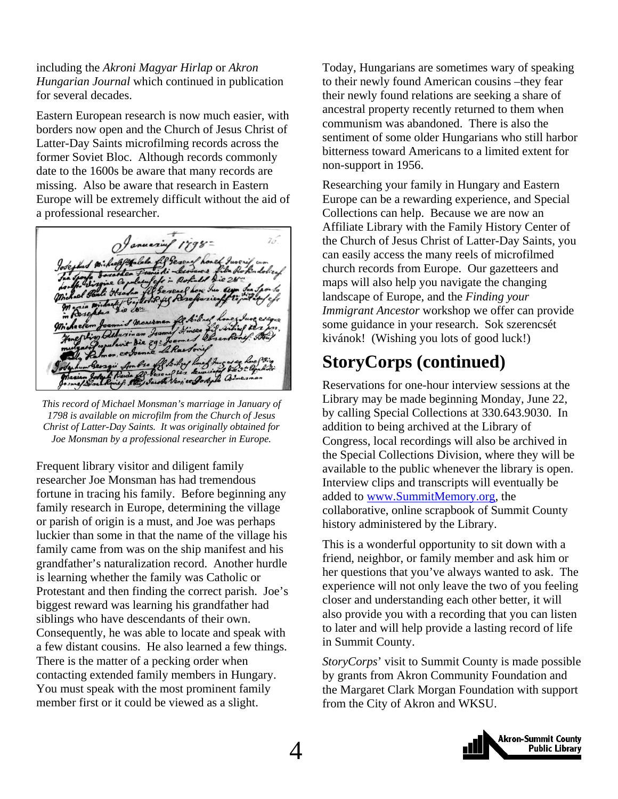<span id="page-3-0"></span>including the *Akroni Magyar Hirlap* or *Akron Hungarian Journal* which continued in publication for several decades.

Eastern European research is now much easier, with borders now open and the Church of Jesus Christ of Latter-Day Saints microfilming records across the former Soviet Bloc. Although records commonly date to the 1600s be aware that many records are missing. Also be aware that research in Eastern Europe will be extremely difficult without the aid of a professional researcher.

*This record of Michael Monsman's marriage in January of 1798 is available on microfilm from the Church of Jesus Christ of Latter-Day Saints. It was originally obtained for Joe Monsman by a professional researcher in Europe.* 

Frequent library visitor and diligent family researcher Joe Monsman has had tremendous fortune in tracing his family. Before beginning any family research in Europe, determining the village or parish of origin is a must, and Joe was perhaps luckier than some in that the name of the village his family came from was on the ship manifest and his grandfather's naturalization record. Another hurdle is learning whether the family was Catholic or Protestant and then finding the correct parish. Joe's biggest reward was learning his grandfather had siblings who have descendants of their own. Consequently, he was able to locate and speak with a few distant cousins. He also learned a few things. There is the matter of a pecking order when contacting extended family members in Hungary. You must speak with the most prominent family member first or it could be viewed as a slight.

Today, Hungarians are sometimes wary of speaking to their newly found American cousins –they fear their newly found relations are seeking a share of ancestral property recently returned to them when communism was abandoned. There is also the sentiment of some older Hungarians who still harbor bitterness toward Americans to a limited extent for non-support in 1956.

Researching your family in Hungary and Eastern Europe can be a rewarding experience, and Special Collections can help. Because we are now an Affiliate Library with the Family History Center of the Church of Jesus Christ of Latter-Day Saints, you can easily access the many reels of microfilmed church records from Europe. Our gazetteers and maps will also help you navigate the changing landscape of Europe, and the *Finding your Immigrant Ancestor* workshop we offer can provide some guidance in your research. Sok szerencsét kivánok! (Wishing you lots of good luck!)

### **StoryCorps (continued)**

Reservations for one-hour interview sessions at the Library may be made beginning Monday, June 22, by calling Special Collections at 330.643.9030. In addition to being archived at the Library of Congress, local recordings will also be archived in the Special Collections Division, where they will be available to the public whenever the library is open. Interview clips and transcripts will eventually be added to www.SummitMemory.org, the collaborative, online scrapbook of Summit County history administered by the Library.

This is a wonderful opportunity to sit down with a friend, neighbor, or family member and ask him or her questions that you've always wanted to ask. The experience will not only leave the two of you feeling closer and understanding each other better, it will also provide you with a recording that you can listen to later and will help provide a lasting record of life in Summit County.

*StoryCorps*' visit to Summit County is made possible by grants from Akron Community Foundation and the Margaret Clark Morgan Foundation with support from the City of Akron and WKSU.

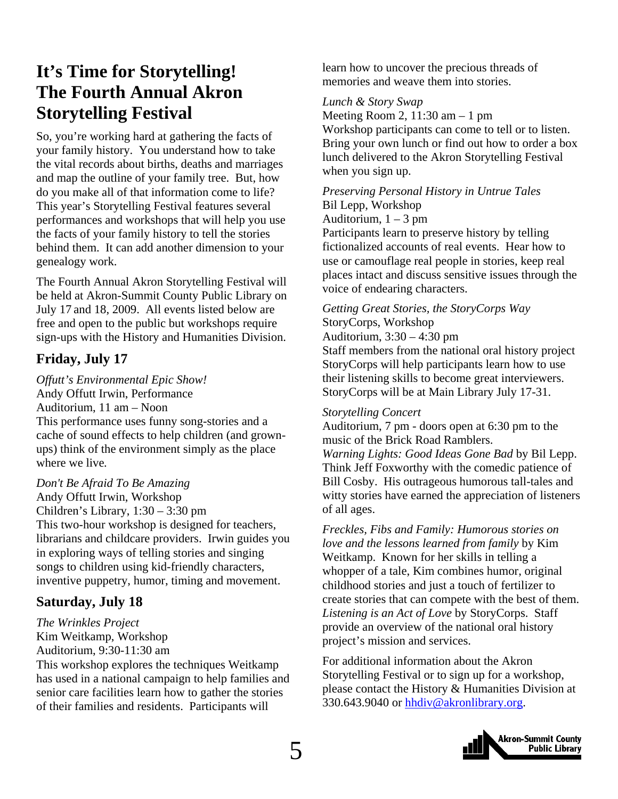### <span id="page-4-0"></span>**It's Time for Storytelling! The Fourth Annual Akron Storytelling Festival**

So, you're working hard at gathering the facts of your family history. You understand how to take the vital records about births, deaths and marriages and map the outline of your family tree. But, how do you make all of that information come to life? This year's Storytelling Festival features several performances and workshops that will help you use the facts of your family history to tell the stories behind them. It can add another dimension to your genealogy work.

The Fourth Annual Akron Storytelling Festival will be held at Akron-Summit County Public Library on July 17 and 18, 2009. All events listed below are free and open to the public but workshops require sign-ups with the History and Humanities Division.

### **Friday, July 17**

*Offutt's Environmental Epic Show!* Andy Offutt Irwin, Performance Auditorium, 11 am – Noon This performance uses funny song-stories and a cache of sound effects to help children (and grownups) think of the environment simply as the place where we live*.* 

### *Don't Be Afraid To Be Amazing*

Andy Offutt Irwin, Workshop Children's Library, 1:30 – 3:30 pm This two-hour workshop is designed for teachers, librarians and childcare providers. Irwin guides you in exploring ways of telling stories and singing songs to children using kid-friendly characters, inventive puppetry, humor, timing and movement.

### **Saturday, July 18**

#### *The Wrinkles Project*  Kim Weitkamp, Workshop Auditorium, 9:30-11:30 am

This workshop explores the techniques Weitkamp has used in a national campaign to help families and senior care facilities learn how to gather the stories of their families and residents. Participants will

learn how to uncover the precious threads of memories and weave them into stories.

#### *Lunch & Story Swap*

Meeting Room 2,  $11:30$  am  $-1$  pm Workshop participants can come to tell or to listen. Bring your own lunch or find out how to order a box lunch delivered to the Akron Storytelling Festival when you sign up.

### *Preserving Personal History in Untrue Tales*  Bil Lepp, Workshop

Auditorium,  $1 - 3$  pm Participants learn to preserve history by telling fictionalized accounts of real events. Hear how to use or camouflage real people in stories, keep real places intact and discuss sensitive issues through the voice of endearing characters.

#### *Getting Great Stories, the StoryCorps Way*  StoryCorps, Workshop Auditorium, 3:30 – 4:30 pm

Staff members from the national oral history project StoryCorps will help participants learn how to use their listening skills to become great interviewers. StoryCorps will be at Main Library July 17-31.

### *Storytelling Concert*

Auditorium, 7 pm - doors open at 6:30 pm to the music of the Brick Road Ramblers.

*Warning Lights: Good Ideas Gone Bad* by Bil Lepp. Think Jeff Foxworthy with the comedic patience of Bill Cosby. His outrageous humorous tall-tales and witty stories have earned the appreciation of listeners of all ages.

*Freckles, Fibs and Family: Humorous stories on love and the lessons learned from family* by Kim Weitkamp. Known for her skills in telling a whopper of a tale, Kim combines humor, original childhood stories and just a touch of fertilizer to create stories that can compete with the best of them. *Listening is an Act of Love* by StoryCorps. Staff provide an overview of the national oral history project's mission and services.

For additional information about the Akron Storytelling Festival or to sign up for a workshop, please contact the History & Humanities Division at 330.643.9040 or hhdiv@akronlibrary.org.

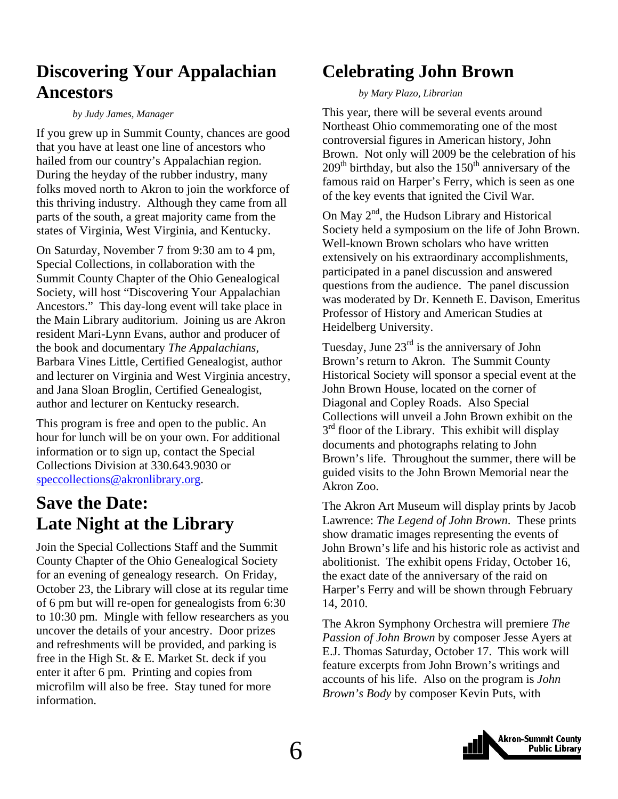### <span id="page-5-0"></span>**Discovering Your Appalachian Ancestors**

#### *by Judy James, Manager*

If you grew up in Summit County, chances are good that you have at least one line of ancestors who hailed from our country's Appalachian region. During the heyday of the rubber industry, many folks moved north to Akron to join the workforce of this thriving industry. Although they came from all parts of the south, a great majority came from the states of Virginia, West Virginia, and Kentucky.

On Saturday, November 7 from 9:30 am to 4 pm, Special Collections, in collaboration with the Summit County Chapter of the Ohio Genealogical Society, will host "Discovering Your Appalachian Ancestors." This day-long event will take place in the Main Library auditorium. Joining us are Akron resident Mari-Lynn Evans, author and producer of the book and documentary *The Appalachians*, Barbara Vines Little, Certified Genealogist, author and lecturer on Virginia and West Virginia ancestry, and Jana Sloan Broglin, Certified Genealogist, author and lecturer on Kentucky research.

This program is free and open to the public. An hour for lunch will be on your own. For additional information or to sign up, contact the Special Collections Division at 330.643.9030 or speccollections@akronlibrary.org.

### **Save the Date: Late Night at the Library**

Join the Special Collections Staff and the Summit County Chapter of the Ohio Genealogical Society for an evening of genealogy research. On Friday, October 23, the Library will close at its regular time of 6 pm but will re-open for genealogists from 6:30 to 10:30 pm. Mingle with fellow researchers as you uncover the details of your ancestry. Door prizes and refreshments will be provided, and parking is free in the High St. & E. Market St. deck if you enter it after 6 pm. Printing and copies from microfilm will also be free. Stay tuned for more information.

### **Celebrating John Brown**

#### *by Mary Plazo, Librarian*

This year, there will be several events around Northeast Ohio commemorating one of the most controversial figures in American history, John Brown. Not only will 2009 be the celebration of his  $209<sup>th</sup>$  birthday, but also the  $150<sup>th</sup>$  anniversary of the famous raid on Harper's Ferry, which is seen as one of the key events that ignited the Civil War.

On May  $2<sup>nd</sup>$ , the Hudson Library and Historical Society held a symposium on the life of John Brown. Well-known Brown scholars who have written extensively on his extraordinary accomplishments, participated in a panel discussion and answered questions from the audience. The panel discussion was moderated by Dr. Kenneth E. Davison, Emeritus Professor of History and American Studies at Heidelberg University.

Tuesday, June  $23<sup>rd</sup>$  is the anniversary of John Brown's return to Akron. The Summit County Historical Society will sponsor a special event at the John Brown House, located on the corner of Diagonal and Copley Roads. Also Special Collections will unveil a John Brown exhibit on the  $3<sup>rd</sup>$  floor of the Library. This exhibit will display documents and photographs relating to John Brown's life. Throughout the summer, there will be guided visits to the John Brown Memorial near the Akron Zoo.

The Akron Art Museum will display prints by Jacob Lawrence: *The Legend of John Brown*. These prints show dramatic images representing the events of John Brown's life and his historic role as activist and abolitionist. The exhibit opens Friday, October 16, the exact date of the anniversary of the raid on Harper's Ferry and will be shown through February 14, 2010.

The Akron Symphony Orchestra will premiere *The Passion of John Brown* by composer Jesse Ayers at E.J. Thomas Saturday, October 17. This work will feature excerpts from John Brown's writings and accounts of his life. Also on the program is *John Brown's Body* by composer Kevin Puts, with

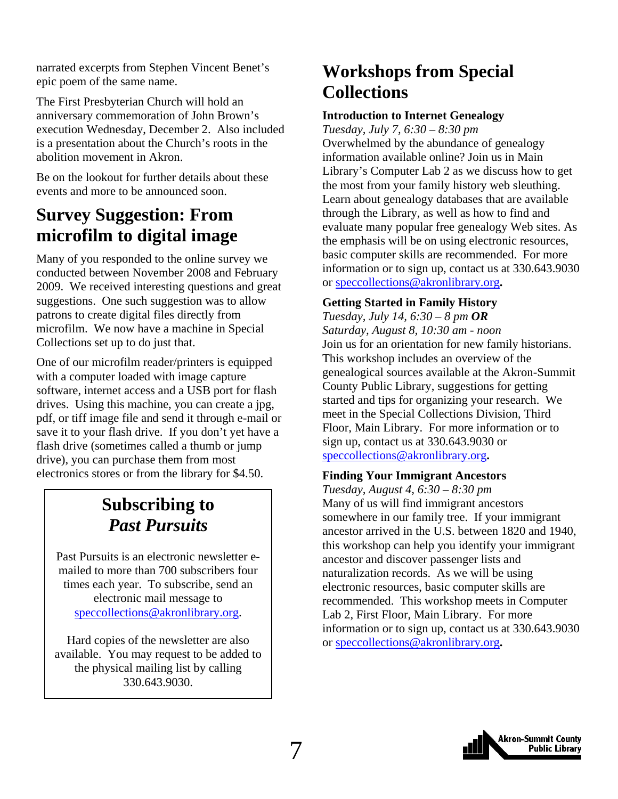<span id="page-6-0"></span>narrated excerpts from Stephen Vincent Benet's epic poem of the same name.

The First Presbyterian Church will hold an anniversary commemoration of John Brown's execution Wednesday, December 2. Also included is a presentation about the Church's roots in the abolition movement in Akron.

Be on the lookout for further details about these events and more to be announced soon.

### **Survey Suggestion: From microfilm to digital image**

Many of you responded to the online survey we conducted between November 2008 and February 2009. We received interesting questions and great suggestions. One such suggestion was to allow patrons to create digital files directly from microfilm. We now have a machine in Special Collections set up to do just that.

One of our microfilm reader/printers is equipped with a computer loaded with image capture software, internet access and a USB port for flash drives. Using this machine, you can create a jpg, pdf, or tiff image file and send it through e-mail or save it to your flash drive. If you don't yet have a flash drive (sometimes called a thumb or jump drive), you can purchase them from most electronics stores or from the library for \$4.50.

### **Subscribing to**  *Past Pursuits*

Past Pursuits is an electronic newsletter emailed to more than 700 subscribers four times each year. To subscribe, send an electronic mail message to speccollections@akronlibrary.org.

Hard copies of the newsletter are also available. You may request to be added to the physical mailing list by calling 330.643.9030.

### **Workshops from Special Collections**

#### **Introduction to Internet Genealogy**

*Tuesday, July 7, 6:30 – 8:30 pm*  Overwhelmed by the abundance of genealogy information available online? Join us in Main Library's Computer Lab 2 as we discuss how to get the most from your family history web sleuthing. Learn about genealogy databases that are available through the Library, as well as how to find and evaluate many popular free genealogy Web sites. As the emphasis will be on using electronic resources, basic computer skills are recommended. For more information or to sign up, contact us at 330.643.9030 or speccollections@akronlibrary.org**.** 

#### **Getting Started in Family History**

*Tuesday, July 14, 6:30 – 8 pm OR Saturday, August 8, 10:30 am - noon* Join us for an orientation for new family historians. This workshop includes an overview of the genealogical sources available at the Akron-Summit County Public Library, suggestions for getting started and tips for organizing your research. We meet in the Special Collections Division, Third Floor, Main Library. For more information or to sign up, contact us at 330.643.9030 or speccollections@akronlibrary.org**.** 

#### **Finding Your Immigrant Ancestors**

*Tuesday, August 4, 6:30 – 8:30 pm*  Many of us will find immigrant ancestors somewhere in our family tree. If your immigrant ancestor arrived in the U.S. between 1820 and 1940, this workshop can help you identify your immigrant ancestor and discover passenger lists and naturalization records. As we will be using electronic resources, basic computer skills are recommended. This workshop meets in Computer Lab 2, First Floor, Main Library. For more information or to sign up, contact us at 330.643.9030 or speccollections@akronlibrary.org**.** 

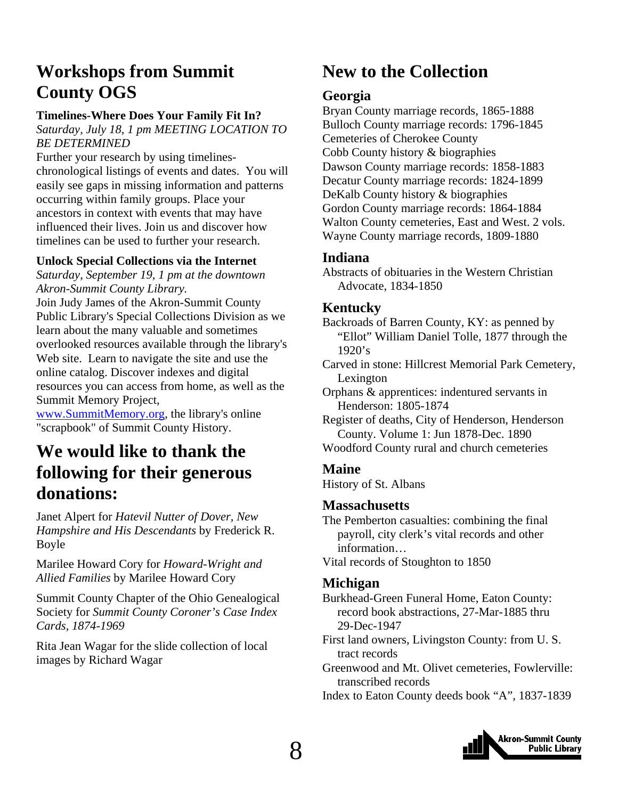### <span id="page-7-0"></span>**Workshops from Summit County OGS**

### **Timelines-Where Does Your Family Fit In?**

*Saturday, July 18, 1 pm MEETING LOCATION TO BE DETERMINED* 

Further your research by using timelineschronological listings of events and dates. You will easily see gaps in missing information and patterns occurring within family groups. Place your ancestors in context with events that may have influenced their lives. Join us and discover how timelines can be used to further your research.

### **Unlock Special Collections via the Internet**

*Saturday, September 19, 1 pm at the downtown Akron-Summit County Library.* 

Join Judy James of the Akron-Summit County Public Library's Special Collections Division as we learn about the many valuable and sometimes overlooked resources available through the library's Web site. Learn to navigate the site and use the online catalog. Discover indexes and digital resources you can access from home, as well as the Summit Memory Project,

www.SummitMemory.org, the library's online "scrapbook" of Summit County History.

### **We would like to thank the following for their generous donations:**

Janet Alpert for *Hatevil Nutter of Dover, New Hampshire and His Descendants* by Frederick R. Boyle

#### Marilee Howard Cory for *Howard-Wright and Allied Families* by Marilee Howard Cory

Summit County Chapter of the Ohio Genealogical Society for *Summit County Coroner's Case Index Cards, 1874-1969*

Rita Jean Wagar for the slide collection of local images by Richard Wagar

### **New to the Collection**

### **Georgia**

Bryan County marriage records, 1865-1888 Bulloch County marriage records: 1796-1845 Cemeteries of Cherokee County Cobb County history & biographies Dawson County marriage records: 1858-1883 Decatur County marriage records: 1824-1899 DeKalb County history & biographies Gordon County marriage records: 1864-1884 Walton County cemeteries, East and West. 2 vols. Wayne County marriage records, 1809-1880

### **Indiana**

Abstracts of obituaries in the Western Christian Advocate, 1834-1850

### **Kentucky**

Backroads of Barren County, KY: as penned by "Ellot" William Daniel Tolle, 1877 through the 1920's

Carved in stone: Hillcrest Memorial Park Cemetery, Lexington

Orphans & apprentices: indentured servants in Henderson: 1805-1874

Register of deaths, City of Henderson, Henderson County. Volume 1: Jun 1878-Dec. 1890

Woodford County rural and church cemeteries

### **Maine**

History of St. Albans

### **Massachusetts**

The Pemberton casualties: combining the final payroll, city clerk's vital records and other information…

Vital records of Stoughton to 1850

### **Michigan**

Burkhead-Green Funeral Home, Eaton County: record book abstractions, 27-Mar-1885 thru 29-Dec-1947

- First land owners, Livingston County: from U. S. tract records
- Greenwood and Mt. Olivet cemeteries, Fowlerville: transcribed records
- Index to Eaton County deeds book "A", 1837-1839

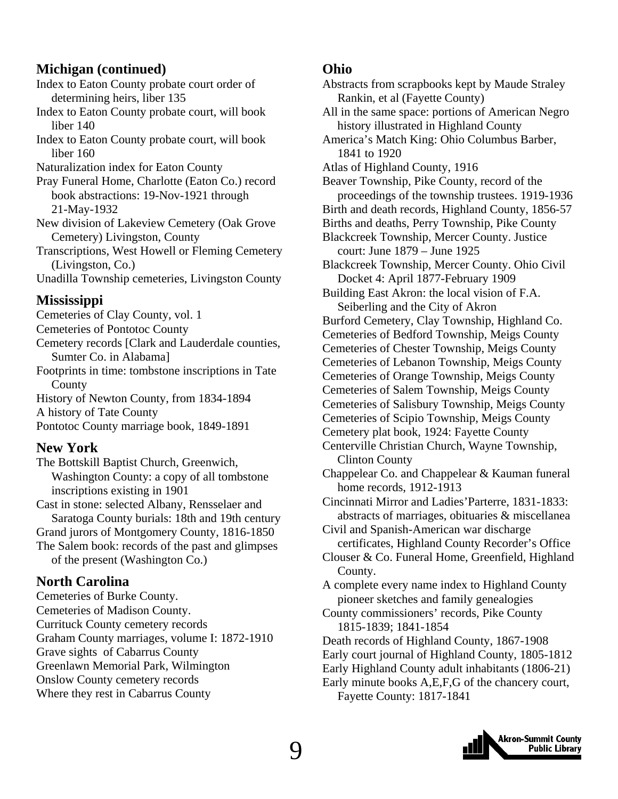### **Michigan (continued)**

Index to Eaton County probate court order of determining heirs, liber 135

Index to Eaton County probate court, will book liber 140

Index to Eaton County probate court, will book liber 160

Naturalization index for Eaton County

Pray Funeral Home, Charlotte (Eaton Co.) record book abstractions: 19-Nov-1921 through 21-May-1932

New division of Lakeview Cemetery (Oak Grove Cemetery) Livingston, County

Transcriptions, West Howell or Fleming Cemetery (Livingston, Co.)

Unadilla Township cemeteries, Livingston County

#### **Mississippi**

Cemeteries of Clay County, vol. 1 Cemeteries of Pontotoc County Cemetery records [Clark and Lauderdale counties,

 Sumter Co. in Alabama] Footprints in time: tombstone inscriptions in Tate County

History of Newton County, from 1834-1894 A history of Tate County

Pontotoc County marriage book, 1849-1891

### **New York**

The Bottskill Baptist Church, Greenwich, Washington County: a copy of all tombstone inscriptions existing in 1901

Cast in stone: selected Albany, Rensselaer and Saratoga County burials: 18th and 19th century Grand jurors of Montgomery County, 1816-1850 The Salem book: records of the past and glimpses of the present (Washington Co.)

#### **North Carolina**

Cemeteries of Burke County. Cemeteries of Madison County. Currituck County cemetery records Graham County marriages, volume I: 1872-1910 Grave sights of Cabarrus County Greenlawn Memorial Park, Wilmington Onslow County cemetery records Where they rest in Cabarrus County

#### **Ohio**

Abstracts from scrapbooks kept by Maude Straley Rankin, et al (Fayette County) All in the same space: portions of American Negro history illustrated in Highland County America's Match King: Ohio Columbus Barber, 1841 to 1920 Atlas of Highland County, 1916 Beaver Township, Pike County, record of the proceedings of the township trustees. 1919-1936 Birth and death records, Highland County, 1856-57 Births and deaths, Perry Township, Pike County Blackcreek Township, Mercer County. Justice court: June 1879 – June 1925 Blackcreek Township, Mercer County. Ohio Civil Docket 4: April 1877-February 1909 Building East Akron: the local vision of F.A. Seiberling and the City of Akron Burford Cemetery, Clay Township, Highland Co. Cemeteries of Bedford Township, Meigs County Cemeteries of Chester Township, Meigs County Cemeteries of Lebanon Township, Meigs County Cemeteries of Orange Township, Meigs County Cemeteries of Salem Township, Meigs County Cemeteries of Salisbury Township, Meigs County Cemeteries of Scipio Township, Meigs County Cemetery plat book, 1924: Fayette County Centerville Christian Church, Wayne Township, Clinton County Chappelear Co. and Chappelear & Kauman funeral home records, 1912-1913 Cincinnati Mirror and Ladies'Parterre, 1831-1833: abstracts of marriages, obituaries & miscellanea Civil and Spanish-American war discharge certificates, Highland County Recorder's Office Clouser & Co. Funeral Home, Greenfield, Highland County. A complete every name index to Highland County pioneer sketches and family genealogies County commissioners' records, Pike County 1815-1839; 1841-1854 Death records of Highland County, 1867-1908 Early court journal of Highland County, 1805-1812 Early Highland County adult inhabitants (1806-21) Early minute books A,E,F,G of the chancery court,

Fayette County: 1817-1841

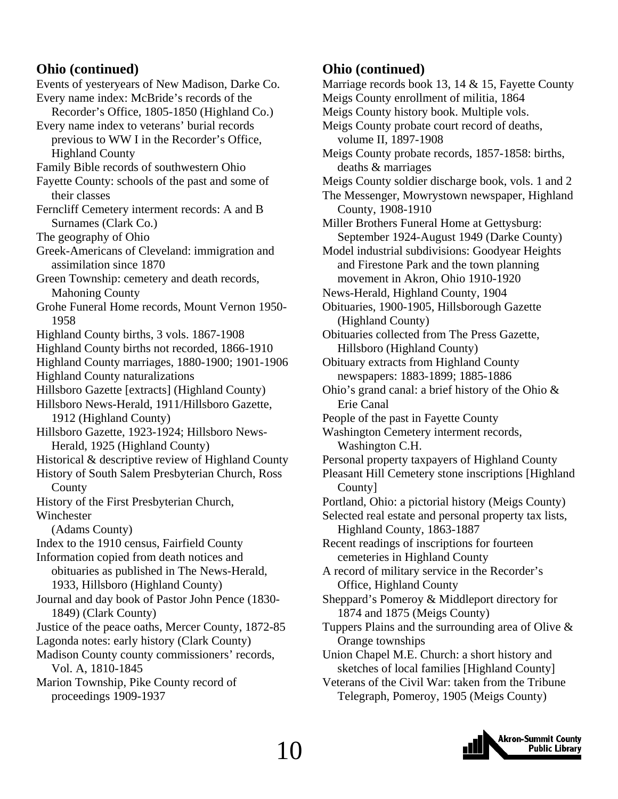### **Ohio (continued)**

Events of yesteryears of New Madison, Darke Co. Every name index: McBride's records of the Recorder's Office, 1805-1850 (Highland Co.) Every name index to veterans' burial records previous to WW I in the Recorder's Office, Highland County Family Bible records of southwestern Ohio Fayette County: schools of the past and some of their classes Ferncliff Cemetery interment records: A and B Surnames (Clark Co.) The geography of Ohio Greek-Americans of Cleveland: immigration and assimilation since 1870 Green Township: cemetery and death records, Mahoning County Grohe Funeral Home records, Mount Vernon 1950- 1958 Highland County births, 3 vols. 1867-1908 Highland County births not recorded, 1866-1910 Highland County marriages, 1880-1900; 1901-1906 Highland County naturalizations Hillsboro Gazette [extracts] (Highland County) Hillsboro News-Herald, 1911/Hillsboro Gazette, 1912 (Highland County) Hillsboro Gazette, 1923-1924; Hillsboro News- Herald, 1925 (Highland County) Historical & descriptive review of Highland County History of South Salem Presbyterian Church, Ross County History of the First Presbyterian Church, Winchester (Adams County) Index to the 1910 census, Fairfield County Information copied from death notices and obituaries as published in The News-Herald, 1933, Hillsboro (Highland County) Journal and day book of Pastor John Pence (1830- 1849) (Clark County) Justice of the peace oaths, Mercer County, 1872-85 Lagonda notes: early history (Clark County) Madison County county commissioners' records, Vol. A, 1810-1845

Marion Township, Pike County record of proceedings 1909-1937

### **Ohio (continued)**

Marriage records book 13, 14 & 15, Fayette County Meigs County enrollment of militia, 1864 Meigs County history book. Multiple vols. Meigs County probate court record of deaths, volume II, 1897-1908 Meigs County probate records, 1857-1858: births, deaths & marriages Meigs County soldier discharge book, vols. 1 and 2 The Messenger, Mowrystown newspaper, Highland County, 1908-1910 Miller Brothers Funeral Home at Gettysburg: September 1924-August 1949 (Darke County) Model industrial subdivisions: Goodyear Heights and Firestone Park and the town planning movement in Akron, Ohio 1910-1920 News-Herald, Highland County, 1904 Obituaries, 1900-1905, Hillsborough Gazette (Highland County) Obituaries collected from The Press Gazette, Hillsboro (Highland County) Obituary extracts from Highland County newspapers: 1883-1899; 1885-1886 Ohio's grand canal: a brief history of the Ohio & Erie Canal People of the past in Fayette County Washington Cemetery interment records, Washington C.H. Personal property taxpayers of Highland County Pleasant Hill Cemetery stone inscriptions [Highland County] Portland, Ohio: a pictorial history (Meigs County) Selected real estate and personal property tax lists, Highland County, 1863-1887 Recent readings of inscriptions for fourteen cemeteries in Highland County A record of military service in the Recorder's Office, Highland County Sheppard's Pomeroy & Middleport directory for 1874 and 1875 (Meigs County) Tuppers Plains and the surrounding area of Olive & Orange townships Union Chapel M.E. Church: a short history and sketches of local families [Highland County] Veterans of the Civil War: taken from the Tribune

Telegraph, Pomeroy, 1905 (Meigs County)

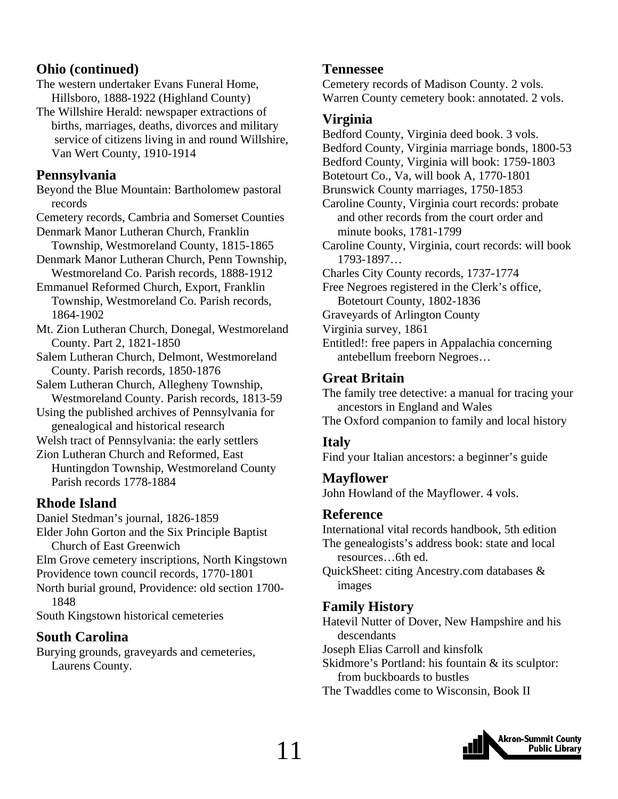### **Ohio (continued)**

- The western undertaker Evans Funeral Home, Hillsboro, 1888-1922 (Highland County)
- The Willshire Herald: newspaper extractions of births, marriages, deaths, divorces and military service of citizens living in and round Willshire, Van Wert County, 1910-1914

### **Pennsylvania**

Beyond the Blue Mountain: Bartholomew pastoral records

Cemetery records, Cambria and Somerset Counties Denmark Manor Lutheran Church, Franklin

 Township, Westmoreland County, 1815-1865 Denmark Manor Lutheran Church, Penn Township, Westmoreland Co. Parish records, 1888-1912

Emmanuel Reformed Church, Export, Franklin Township, Westmoreland Co. Parish records, 1864-1902

- Mt. Zion Lutheran Church, Donegal, Westmoreland County. Part 2, 1821-1850
- Salem Lutheran Church, Delmont, Westmoreland County. Parish records, 1850-1876
- Salem Lutheran Church, Allegheny Township, Westmoreland County. Parish records, 1813-59
- Using the published archives of Pennsylvania for genealogical and historical research
- Welsh tract of Pennsylvania: the early settlers
- Zion Lutheran Church and Reformed, East Huntingdon Township, Westmoreland County Parish records 1778-1884

### **Rhode Island**

Daniel Stedman's journal, 1826-1859

Elder John Gorton and the Six Principle Baptist Church of East Greenwich

Elm Grove cemetery inscriptions, North Kingstown Providence town council records, 1770-1801

North burial ground, Providence: old section 1700- 1848

South Kingstown historical cemeteries

### **South Carolina**

Burying grounds, graveyards and cemeteries, Laurens County.

### **Tennessee**

Cemetery records of Madison County. 2 vols. Warren County cemetery book: annotated. 2 vols.

### **Virginia**

Bedford County, Virginia deed book. 3 vols. Bedford County, Virginia marriage bonds, 1800-53 Bedford County, Virginia will book: 1759-1803 Botetourt Co., Va, will book A, 1770-1801 Brunswick County marriages, 1750-1853 Caroline County, Virginia court records: probate and other records from the court order and minute books, 1781-1799 Caroline County, Virginia, court records: will book 1793-1897… Charles City County records, 1737-1774 Free Negroes registered in the Clerk's office, Botetourt County, 1802-1836 Graveyards of Arlington County Virginia survey, 1861 Entitled!: free papers in Appalachia concerning antebellum freeborn Negroes…

### **Great Britain**

The family tree detective: a manual for tracing your ancestors in England and Wales The Oxford companion to family and local history

### **Italy**

Find your Italian ancestors: a beginner's guide

### **Mayflower**

John Howland of the Mayflower. 4 vols.

### **Reference**

International vital records handbook, 5th edition The genealogists's address book: state and local resources…6th ed.

QuickSheet: citing Ancestry.com databases & images

### **Family History**

Hatevil Nutter of Dover, New Hampshire and his descendants

- Joseph Elias Carroll and kinsfolk
- Skidmore's Portland: his fountain & its sculptor: from buckboards to bustles
- The Twaddles come to Wisconsin, Book II